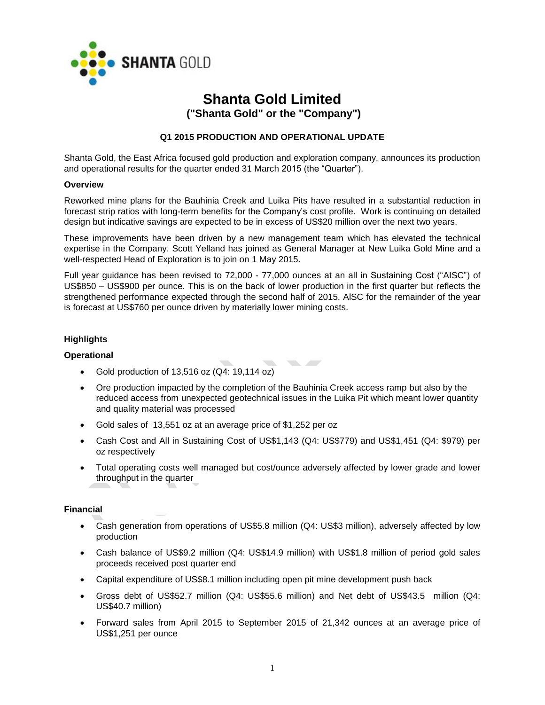

# **Shanta Gold Limited ("Shanta Gold" or the "Company")**

**Q1 2015 PRODUCTION AND OPERATIONAL UPDATE**

Shanta Gold, the East Africa focused gold production and exploration company, announces its production and operational results for the quarter ended 31 March 2015 (the "Quarter").

#### **Overview**

Reworked mine plans for the Bauhinia Creek and Luika Pits have resulted in a substantial reduction in forecast strip ratios with long-term benefits for the Company's cost profile. Work is continuing on detailed design but indicative savings are expected to be in excess of US\$20 million over the next two years.

These improvements have been driven by a new management team which has elevated the technical expertise in the Company. Scott Yelland has joined as General Manager at New Luika Gold Mine and a well-respected Head of Exploration is to join on 1 May 2015.

Full year guidance has been revised to 72,000 - 77,000 ounces at an all in Sustaining Cost ("AISC") of US\$850 – US\$900 per ounce. This is on the back of lower production in the first quarter but reflects the strengthened performance expected through the second half of 2015. AlSC for the remainder of the year is forecast at US\$760 per ounce driven by materially lower mining costs.

## **Highlights**

## **Operational**

- Gold production of  $13,516$  oz  $(Q4: 19,114$  oz)
- Ore production impacted by the completion of the Bauhinia Creek access ramp but also by the reduced access from unexpected geotechnical issues in the Luika Pit which meant lower quantity and quality material was processed

**The Contract of the Contract of the Contract of the Contract of the Contract of the Contract of the Contract of the Contract of the Contract of The Contract of The Contract of The Contract of The Contract of The Contract** 

- Gold sales of 13,551 oz at an average price of \$1,252 per oz
- Cash Cost and All in Sustaining Cost of US\$1,143 (Q4: US\$779) and US\$1,451 (Q4: \$979) per oz respectively
- Total operating costs well managed but cost/ounce adversely affected by lower grade and lower throughput in the quarter

## **Financial**

- Cash generation from operations of US\$5.8 million (Q4: US\$3 million), adversely affected by low production
- Cash balance of US\$9.2 million (Q4: US\$14.9 million) with US\$1.8 million of period gold sales proceeds received post quarter end
- Capital expenditure of US\$8.1 million including open pit mine development push back
- Gross debt of US\$52.7 million (Q4: US\$55.6 million) and Net debt of US\$43.5 million (Q4: US\$40.7 million)
- Forward sales from April 2015 to September 2015 of 21,342 ounces at an average price of US\$1,251 per ounce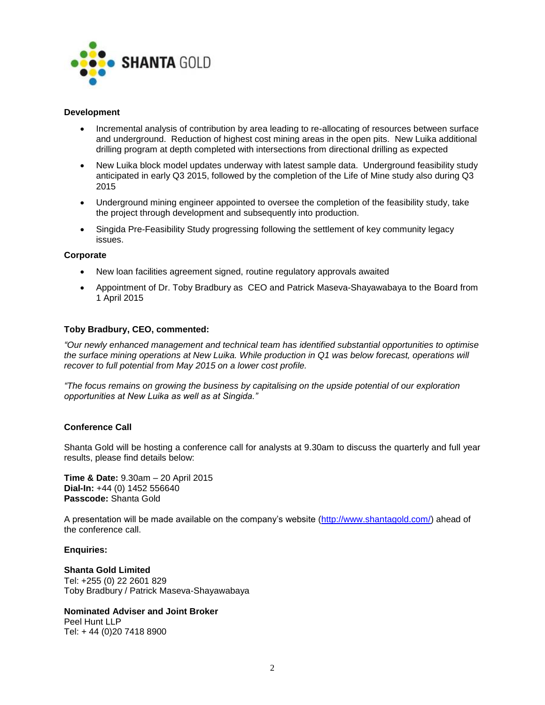

## **Development**

- Incremental analysis of contribution by area leading to re-allocating of resources between surface and underground. Reduction of highest cost mining areas in the open pits. New Luika additional drilling program at depth completed with intersections from directional drilling as expected
- New Luika block model updates underway with latest sample data. Underground feasibility study anticipated in early Q3 2015, followed by the completion of the Life of Mine study also during Q3 2015
- Underground mining engineer appointed to oversee the completion of the feasibility study, take the project through development and subsequently into production.
- Singida Pre-Feasibility Study progressing following the settlement of key community legacy issues.

#### **Corporate**

- New loan facilities agreement signed, routine regulatory approvals awaited
- Appointment of Dr. Toby Bradbury as CEO and Patrick Maseva-Shayawabaya to the Board from 1 April 2015

#### **Toby Bradbury, CEO, commented:**

*"Our newly enhanced management and technical team has identified substantial opportunities to optimise the surface mining operations at New Luika. While production in Q1 was below forecast, operations will recover to full potential from May 2015 on a lower cost profile.* 

*"The focus remains on growing the business by capitalising on the upside potential of our exploration opportunities at New Luika as well as at Singida."*

### **Conference Call**

Shanta Gold will be hosting a conference call for analysts at 9.30am to discuss the quarterly and full year results, please find details below:

**Time & Date:** 9.30am – 20 April 2015 **Dial-In:** +44 (0) 1452 556640 **Passcode:** Shanta Gold

A presentation will be made available on the company's website [\(http://www.shantagold.com/\)](http://www.shantagold.com/) ahead of the conference call.

#### **Enquiries:**

**Shanta Gold Limited**  Tel: +255 (0) 22 2601 829 Toby Bradbury / Patrick Maseva-Shayawabaya

#### **Nominated Adviser and Joint Broker** Peel Hunt LLP

Tel: + 44 (0)20 7418 8900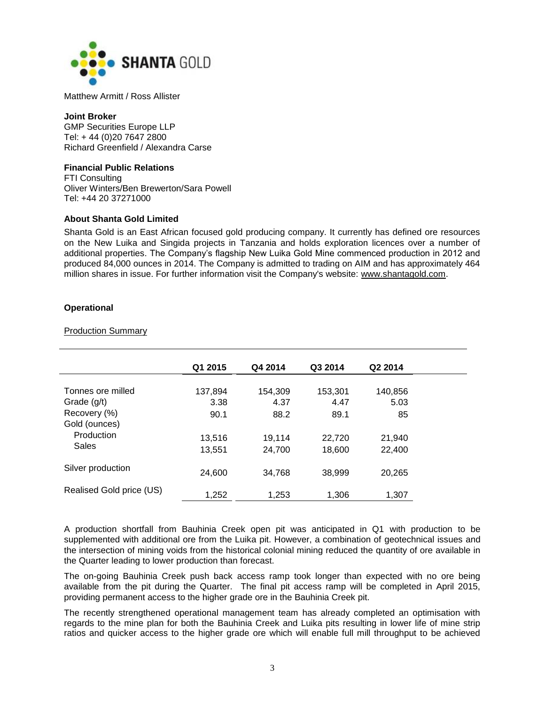

Matthew Armitt / Ross Allister

#### **Joint Broker**

GMP Securities Europe LLP Tel: + 44 (0)20 7647 2800 Richard Greenfield / Alexandra Carse

## **Financial Public Relations**

FTI Consulting Oliver Winters/Ben Brewerton/Sara Powell Tel: +44 20 37271000

## **About Shanta Gold Limited**

Shanta Gold is an East African focused gold producing company. It currently has defined ore resources on the New Luika and Singida projects in Tanzania and holds exploration licences over a number of additional properties. The Company's flagship New Luika Gold Mine commenced production in 2012 and produced 84,000 ounces in 2014. The Company is admitted to trading on AIM and has approximately 464 million shares in issue. For further information visit the Company's website: [www.shantagold.com.](http://www.shantagold.com/)

## **Operational**

## Production Summary

|                          | Q1 2015 | Q4 2014 | Q3 2014 | Q2 2014 |
|--------------------------|---------|---------|---------|---------|
|                          |         |         |         |         |
| Tonnes ore milled        | 137,894 | 154,309 | 153,301 | 140,856 |
| Grade (g/t)              | 3.38    | 4.37    | 4.47    | 5.03    |
| Recovery (%)             | 90.1    | 88.2    | 89.1    | 85      |
| Gold (ounces)            |         |         |         |         |
| Production               | 13.516  | 19,114  | 22,720  | 21,940  |
| Sales                    | 13,551  | 24,700  | 18,600  | 22,400  |
|                          |         |         |         |         |
| Silver production        | 24,600  | 34,768  | 38,999  | 20,265  |
|                          |         |         |         |         |
| Realised Gold price (US) | 1,252   | 1,253   | 1,306   | 1,307   |
|                          |         |         |         |         |

A production shortfall from Bauhinia Creek open pit was anticipated in Q1 with production to be supplemented with additional ore from the Luika pit. However, a combination of geotechnical issues and the intersection of mining voids from the historical colonial mining reduced the quantity of ore available in the Quarter leading to lower production than forecast.

The on-going Bauhinia Creek push back access ramp took longer than expected with no ore being available from the pit during the Quarter. The final pit access ramp will be completed in April 2015, providing permanent access to the higher grade ore in the Bauhinia Creek pit.

The recently strengthened operational management team has already completed an optimisation with regards to the mine plan for both the Bauhinia Creek and Luika pits resulting in lower life of mine strip ratios and quicker access to the higher grade ore which will enable full mill throughput to be achieved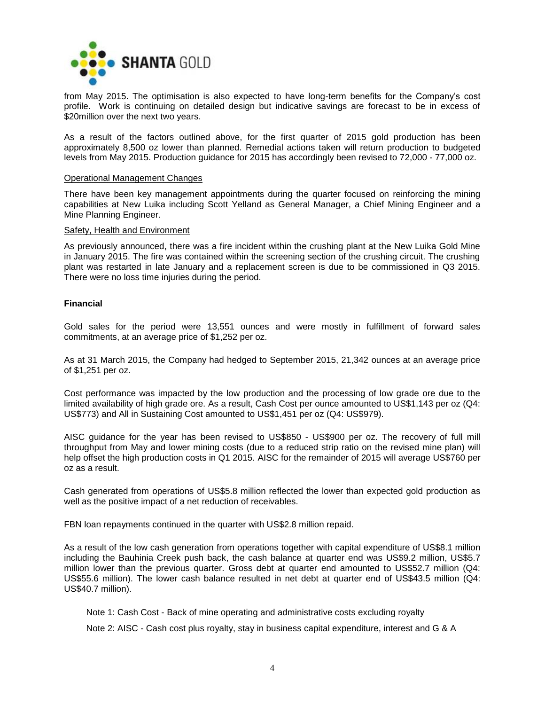

from May 2015. The optimisation is also expected to have long-term benefits for the Company's cost profile. Work is continuing on detailed design but indicative savings are forecast to be in excess of \$20million over the next two years.

As a result of the factors outlined above, for the first quarter of 2015 gold production has been approximately 8,500 oz lower than planned. Remedial actions taken will return production to budgeted levels from May 2015. Production guidance for 2015 has accordingly been revised to 72,000 - 77,000 oz.

#### Operational Management Changes

There have been key management appointments during the quarter focused on reinforcing the mining capabilities at New Luika including Scott Yelland as General Manager, a Chief Mining Engineer and a Mine Planning Engineer.

#### Safety, Health and Environment

As previously announced, there was a fire incident within the crushing plant at the New Luika Gold Mine in January 2015. The fire was contained within the screening section of the crushing circuit. The crushing plant was restarted in late January and a replacement screen is due to be commissioned in Q3 2015. There were no loss time injuries during the period.

## **Financial**

Gold sales for the period were 13,551 ounces and were mostly in fulfillment of forward sales commitments, at an average price of \$1,252 per oz.

As at 31 March 2015, the Company had hedged to September 2015, 21,342 ounces at an average price of \$1,251 per oz.

Cost performance was impacted by the low production and the processing of low grade ore due to the limited availability of high grade ore. As a result, Cash Cost per ounce amounted to US\$1,143 per oz (Q4: US\$773) and All in Sustaining Cost amounted to US\$1,451 per oz (Q4: US\$979).

AISC guidance for the year has been revised to US\$850 - US\$900 per oz. The recovery of full mill throughput from May and lower mining costs (due to a reduced strip ratio on the revised mine plan) will help offset the high production costs in Q1 2015. AISC for the remainder of 2015 will average US\$760 per oz as a result.

Cash generated from operations of US\$5.8 million reflected the lower than expected gold production as well as the positive impact of a net reduction of receivables.

FBN loan repayments continued in the quarter with US\$2.8 million repaid.

As a result of the low cash generation from operations together with capital expenditure of US\$8.1 million including the Bauhinia Creek push back, the cash balance at quarter end was US\$9.2 million, US\$5.7 million lower than the previous quarter. Gross debt at quarter end amounted to US\$52.7 million (Q4: US\$55.6 million). The lower cash balance resulted in net debt at quarter end of US\$43.5 million (Q4: US\$40.7 million).

Note 1: Cash Cost - Back of mine operating and administrative costs excluding royalty

Note 2: AISC - Cash cost plus royalty, stay in business capital expenditure, interest and G & A